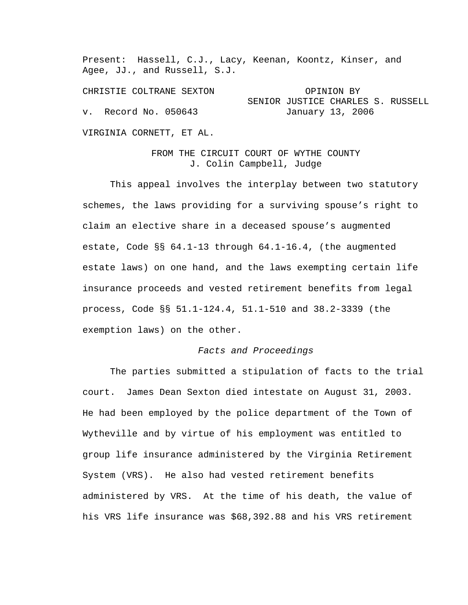Present: Hassell, C.J., Lacy, Keenan, Koontz, Kinser, and Agee, JJ., and Russell, S.J.

CHRISTIE COLTRANE SEXTON CHRISTIE OPINION BY SENIOR JUSTICE CHARLES S. RUSSELL v. Record No. 050643 January 13, 2006

VIRGINIA CORNETT, ET AL.

FROM THE CIRCUIT COURT OF WYTHE COUNTY J. Colin Campbell, Judge

 This appeal involves the interplay between two statutory schemes, the laws providing for a surviving spouse's right to claim an elective share in a deceased spouse's augmented estate, Code §§ 64.1-13 through 64.1-16.4, (the augmented estate laws) on one hand, and the laws exempting certain life insurance proceeds and vested retirement benefits from legal process, Code §§ 51.1-124.4, 51.1-510 and 38.2-3339 (the exemption laws) on the other.

## *Facts and Proceedings*

 The parties submitted a stipulation of facts to the trial court. James Dean Sexton died intestate on August 31, 2003. He had been employed by the police department of the Town of Wytheville and by virtue of his employment was entitled to group life insurance administered by the Virginia Retirement System (VRS). He also had vested retirement benefits administered by VRS. At the time of his death, the value of his VRS life insurance was \$68,392.88 and his VRS retirement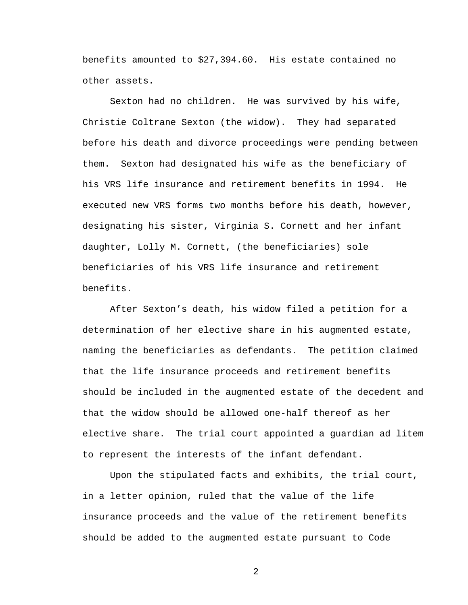benefits amounted to \$27,394.60. His estate contained no other assets.

 Sexton had no children. He was survived by his wife, Christie Coltrane Sexton (the widow). They had separated before his death and divorce proceedings were pending between them. Sexton had designated his wife as the beneficiary of his VRS life insurance and retirement benefits in 1994. He executed new VRS forms two months before his death, however, designating his sister, Virginia S. Cornett and her infant daughter, Lolly M. Cornett, (the beneficiaries) sole beneficiaries of his VRS life insurance and retirement benefits.

 After Sexton's death, his widow filed a petition for a determination of her elective share in his augmented estate, naming the beneficiaries as defendants. The petition claimed that the life insurance proceeds and retirement benefits should be included in the augmented estate of the decedent and that the widow should be allowed one-half thereof as her elective share. The trial court appointed a guardian ad litem to represent the interests of the infant defendant.

 Upon the stipulated facts and exhibits, the trial court, in a letter opinion, ruled that the value of the life insurance proceeds and the value of the retirement benefits should be added to the augmented estate pursuant to Code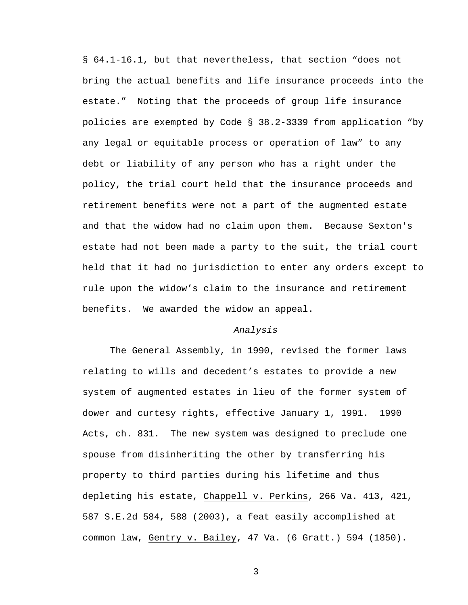§ 64.1-16.1, but that nevertheless, that section "does not bring the actual benefits and life insurance proceeds into the estate." Noting that the proceeds of group life insurance policies are exempted by Code § 38.2-3339 from application "by any legal or equitable process or operation of law" to any debt or liability of any person who has a right under the policy, the trial court held that the insurance proceeds and retirement benefits were not a part of the augmented estate and that the widow had no claim upon them. Because Sexton's estate had not been made a party to the suit, the trial court held that it had no jurisdiction to enter any orders except to rule upon the widow's claim to the insurance and retirement benefits. We awarded the widow an appeal.

## *Analysis*

 The General Assembly, in 1990, revised the former laws relating to wills and decedent's estates to provide a new system of augmented estates in lieu of the former system of dower and curtesy rights, effective January 1, 1991. 1990 Acts, ch. 831. The new system was designed to preclude one spouse from disinheriting the other by transferring his property to third parties during his lifetime and thus depleting his estate, Chappell v. Perkins, 266 Va. 413, 421, 587 S.E.2d 584, 588 (2003), a feat easily accomplished at common law, Gentry v. Bailey, 47 Va. (6 Gratt.) 594 (1850).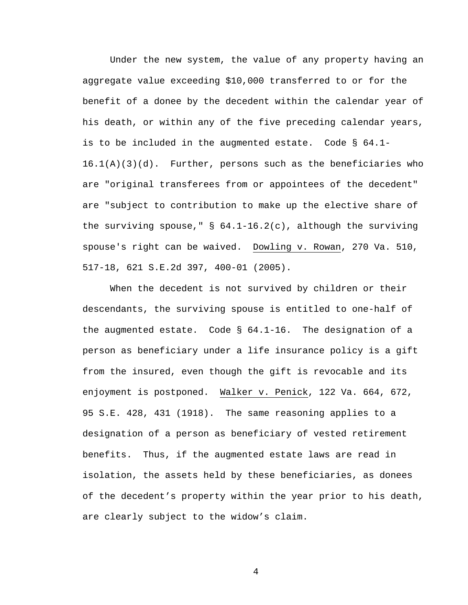Under the new system, the value of any property having an aggregate value exceeding \$10,000 transferred to or for the benefit of a donee by the decedent within the calendar year of his death, or within any of the five preceding calendar years, is to be included in the augmented estate. Code § 64.1-  $16.1(A)(3)(d)$ . Further, persons such as the beneficiaries who are "original transferees from or appointees of the decedent" are "subject to contribution to make up the elective share of the surviving spouse," § 64.1-16.2(c), although the surviving spouse's right can be waived. Dowling v. Rowan, 270 Va. 510, 517-18, 621 S.E.2d 397, 400-01 (2005).

 When the decedent is not survived by children or their descendants, the surviving spouse is entitled to one-half of the augmented estate. Code § 64.1-16. The designation of a person as beneficiary under a life insurance policy is a gift from the insured, even though the gift is revocable and its enjoyment is postponed. Walker v. Penick, 122 Va. 664, 672, 95 S.E. 428, 431 (1918). The same reasoning applies to a designation of a person as beneficiary of vested retirement benefits. Thus, if the augmented estate laws are read in isolation, the assets held by these beneficiaries, as donees of the decedent's property within the year prior to his death, are clearly subject to the widow's claim.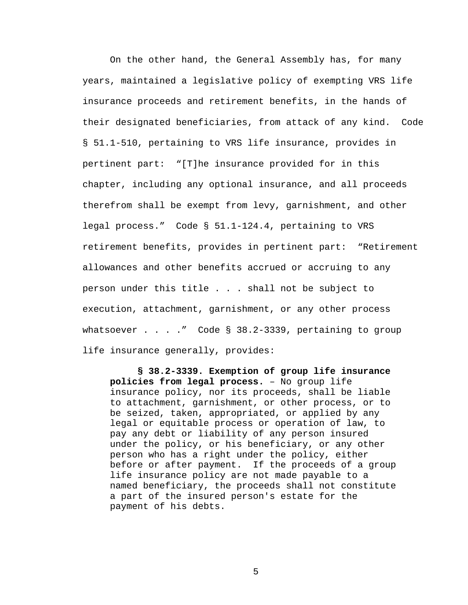On the other hand, the General Assembly has, for many years, maintained a legislative policy of exempting VRS life insurance proceeds and retirement benefits, in the hands of their designated beneficiaries, from attack of any kind. Code § 51.1-510, pertaining to VRS life insurance, provides in pertinent part: "[T]he insurance provided for in this chapter, including any optional insurance, and all proceeds therefrom shall be exempt from levy, garnishment, and other legal process." Code § 51.1-124.4, pertaining to VRS retirement benefits, provides in pertinent part: "Retirement allowances and other benefits accrued or accruing to any person under this title . . . shall not be subject to execution, attachment, garnishment, or any other process whatsoever  $\ldots$  . . " Code § 38.2-3339, pertaining to group life insurance generally, provides:

**§ 38.2-3339. Exemption of group life insurance policies from legal process.** – No group life insurance policy, nor its proceeds, shall be liable to attachment, garnishment, or other process, or to be seized, taken, appropriated, or applied by any legal or equitable process or operation of law, to pay any debt or liability of any person insured under the policy, or his beneficiary, or any other person who has a right under the policy, either before or after payment. If the proceeds of a group life insurance policy are not made payable to a named beneficiary, the proceeds shall not constitute a part of the insured person's estate for the payment of his debts.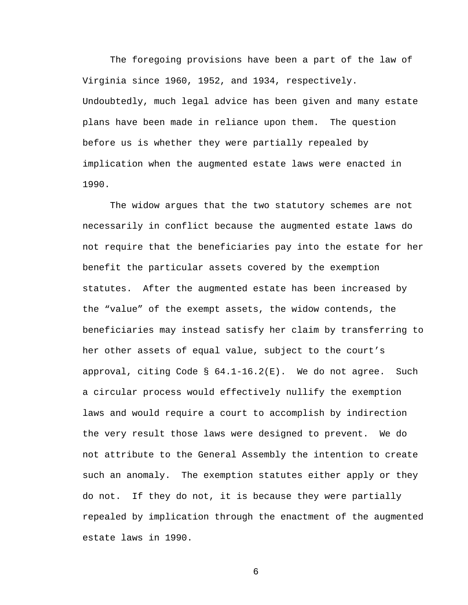The foregoing provisions have been a part of the law of Virginia since 1960, 1952, and 1934, respectively. Undoubtedly, much legal advice has been given and many estate plans have been made in reliance upon them. The question before us is whether they were partially repealed by implication when the augmented estate laws were enacted in 1990.

 The widow argues that the two statutory schemes are not necessarily in conflict because the augmented estate laws do not require that the beneficiaries pay into the estate for her benefit the particular assets covered by the exemption statutes. After the augmented estate has been increased by the "value" of the exempt assets, the widow contends, the beneficiaries may instead satisfy her claim by transferring to her other assets of equal value, subject to the court's approval, citing Code  $\S$  64.1-16.2(E). We do not agree. Such a circular process would effectively nullify the exemption laws and would require a court to accomplish by indirection the very result those laws were designed to prevent. We do not attribute to the General Assembly the intention to create such an anomaly. The exemption statutes either apply or they do not. If they do not, it is because they were partially repealed by implication through the enactment of the augmented estate laws in 1990.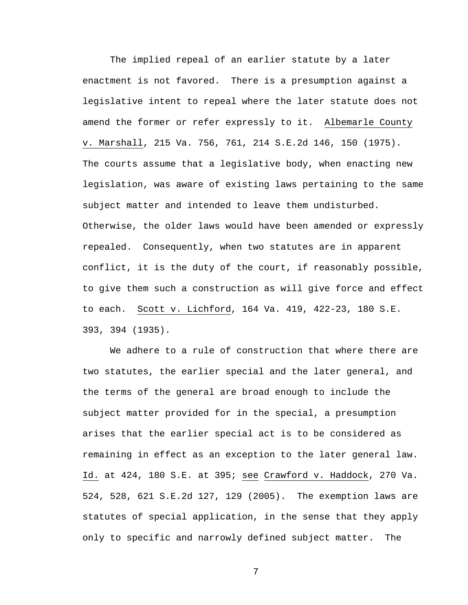The implied repeal of an earlier statute by a later enactment is not favored. There is a presumption against a legislative intent to repeal where the later statute does not amend the former or refer expressly to it. Albemarle County v. Marshall, 215 Va. 756, 761, 214 S.E.2d 146, 150 (1975). The courts assume that a legislative body, when enacting new legislation, was aware of existing laws pertaining to the same subject matter and intended to leave them undisturbed. Otherwise, the older laws would have been amended or expressly repealed. Consequently, when two statutes are in apparent conflict, it is the duty of the court, if reasonably possible, to give them such a construction as will give force and effect to each. Scott v. Lichford, 164 Va. 419, 422-23, 180 S.E. 393, 394 (1935).

 We adhere to a rule of construction that where there are two statutes, the earlier special and the later general, and the terms of the general are broad enough to include the subject matter provided for in the special, a presumption arises that the earlier special act is to be considered as remaining in effect as an exception to the later general law. Id. at 424, 180 S.E. at 395; see Crawford v. Haddock, 270 Va. 524, 528, 621 S.E.2d 127, 129 (2005). The exemption laws are statutes of special application, in the sense that they apply only to specific and narrowly defined subject matter. The